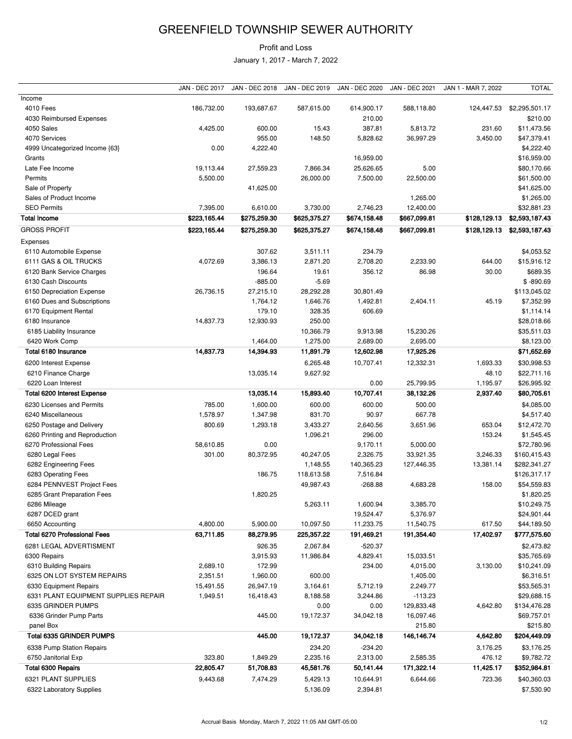## GREENFIELD TOWNSHIP SEWER AUTHORITY

## Profit and Loss

January 1, 2017 - March 7, 2022

|                                      | <b>JAN - DEC 2017</b> | <b>JAN - DEC 2018</b> | JAN - DEC 2019 | JAN - DEC 2020 | JAN - DEC 2021 | JAN 1 - MAR 7, 2022 | <b>TOTAL</b>   |
|--------------------------------------|-----------------------|-----------------------|----------------|----------------|----------------|---------------------|----------------|
| Income                               |                       |                       |                |                |                |                     |                |
| 4010 Fees                            | 186,732.00            | 193,687.67            | 587,615.00     | 614,900.17     | 588,118.80     | 124,447.53          | \$2,295,501.17 |
| 4030 Reimbursed Expenses             |                       |                       |                | 210.00         |                |                     | \$210.00       |
| 4050 Sales                           | 4,425.00              | 600.00                | 15.43          | 387.81         | 5,813.72       | 231.60              | \$11,473.56    |
| 4070 Services                        |                       | 955.00                | 148.50         | 5,828.62       | 36,997.29      | 3,450.00            | \$47,379.41    |
| 4999 Uncategorized Income {63}       | 0.00                  | 4,222.40              |                |                |                |                     | \$4,222.40     |
| Grants                               |                       |                       |                | 16,959.00      |                |                     | \$16,959.00    |
| Late Fee Income                      | 19,113.44             | 27,559.23             | 7,866.34       | 25,626.65      | 5.00           |                     | \$80,170.66    |
| Permits                              | 5,500.00              |                       | 26,000.00      | 7,500.00       | 22,500.00      |                     | \$61,500.00    |
| Sale of Property                     |                       | 41,625.00             |                |                |                |                     | \$41,625.00    |
| Sales of Product Income              |                       |                       |                |                | 1,265.00       |                     | \$1,265.00     |
| <b>SEO Permits</b>                   | 7,395.00              | 6,610.00              |                | 2,746.23       |                |                     |                |
|                                      |                       |                       | 3,730.00       |                | 12,400.00      |                     | \$32,881.23    |
| <b>Total Income</b>                  | \$223,165.44          | \$275,259.30          | \$625,375.27   | \$674,158.48   | \$667,099.81   | \$128,129.13        | \$2,593,187.43 |
| <b>GROSS PROFIT</b>                  | \$223,165.44          | \$275,259.30          | \$625,375.27   | \$674,158.48   | \$667,099.81   | \$128,129.13        | \$2,593,187.43 |
| Expenses                             |                       |                       |                |                |                |                     |                |
| 6110 Automobile Expense              |                       | 307.62                | 3,511.11       | 234.79         |                |                     | \$4,053.52     |
| 6111 GAS & OIL TRUCKS                | 4,072.69              | 3,386.13              | 2,871.20       | 2,708.20       | 2,233.90       | 644.00              | \$15,916.12    |
| 6120 Bank Service Charges            |                       | 196.64                | 19.61          | 356.12         | 86.98          | 30.00               | \$689.35       |
| 6130 Cash Discounts                  |                       | $-885.00$             | $-5.69$        |                |                |                     | $$ -890.69$    |
| 6150 Depreciation Expense            | 26,736.15             | 27,215.10             | 28,292.28      | 30,801.49      |                |                     | \$113,045.02   |
| 6160 Dues and Subscriptions          |                       | 1,764.12              | 1,646.76       | 1,492.81       | 2,404.11       | 45.19               | \$7,352.99     |
| 6170 Equipment Rental                |                       | 179.10                | 328.35         | 606.69         |                |                     | \$1,114.14     |
| 6180 Insurance                       | 14,837.73             | 12,930.93             | 250.00         |                |                |                     | \$28,018.66    |
| 6185 Liability Insurance             |                       |                       | 10,366.79      | 9,913.98       | 15,230.26      |                     | \$35,511.03    |
| 6420 Work Comp                       |                       | 1,464.00              | 1,275.00       | 2,689.00       | 2,695.00       |                     | \$8,123.00     |
| Total 6180 Insurance                 | 14,837.73             | 14,394.93             | 11,891.79      | 12,602.98      | 17,925.26      |                     | \$71,652.69    |
|                                      |                       |                       |                |                |                |                     |                |
| 6200 Interest Expense                |                       |                       | 6,265.48       | 10,707.41      | 12,332.31      | 1,693.33            | \$30,998.53    |
| 6210 Finance Charge                  |                       | 13,035.14             | 9,627.92       |                |                | 48.10               | \$22,711.16    |
| 6220 Loan Interest                   |                       |                       |                | 0.00           | 25,799.95      | 1,195.97            | \$26,995.92    |
| Total 6200 Interest Expense          |                       | 13,035.14             | 15,893.40      | 10,707.41      | 38,132.26      | 2,937.40            | \$80,705.61    |
| 6230 Licenses and Permits            | 785.00                | 1,600.00              | 600.00         | 600.00         | 500.00         |                     | \$4,085.00     |
| 6240 Miscellaneous                   | 1,578.97              | 1,347.98              | 831.70         | 90.97          | 667.78         |                     | \$4,517.40     |
| 6250 Postage and Delivery            | 800.69                | 1,293.18              | 3,433.27       | 2,640.56       | 3,651.96       | 653.04              | \$12,472.70    |
| 6260 Printing and Reproduction       |                       |                       | 1,096.21       | 296.00         |                | 153.24              | \$1,545.45     |
| 6270 Professional Fees               | 58,610.85             | 0.00                  |                | 9,170.11       | 5,000.00       |                     | \$72,780.96    |
| 6280 Legal Fees                      | 301.00                | 80,372.95             | 40,247.05      | 2,326.75       | 33,921.35      | 3,246.33            | \$160,415.43   |
| 6282 Engineering Fees                |                       |                       | 1,148.55       | 140,365.23     | 127,446.35     | 13,381.14           | \$282,341.27   |
| 6283 Operating Fees                  |                       | 186.75                | 118,613.58     | 7,516.84       |                |                     | \$126,317.17   |
| 6284 PENNVEST Project Fees           |                       |                       | 49,987.43      | $-268.88$      | 4,683.28       | 158.00              | \$54,559.83    |
| 6285 Grant Preparation Fees          |                       | 1,820.25              |                |                |                |                     | \$1,820.25     |
| 6286 Mileage                         |                       |                       | 5,263.11       | 1,600.94       | 3,385.70       |                     | \$10,249.75    |
|                                      |                       |                       |                | 19,524.47      | 5,376.97       |                     | \$24,901.44    |
| 6287 DCED grant                      |                       |                       |                |                |                |                     |                |
| 6650 Accounting                      | 4,800.00              | 5,900.00              | 10,097.50      | 11,233.75      | 11,540.75      | 617.50              | \$44,189.50    |
| <b>Total 6270 Professional Fees</b>  | 63,711.85             | 88,279.95             | 225,357.22     | 191,469.21     | 191,354.40     | 17,402.97           | \$777,575.60   |
| 6281 LEGAL ADVERTISMENT              |                       | 926.35                | 2,067.84       | $-520.37$      |                |                     | \$2,473.82     |
| 6300 Repairs                         |                       | 3,915.93              | 11,986.84      | 4,829.41       | 15,033.51      |                     | \$35,765.69    |
| 6310 Building Repairs                | 2,689.10              | 172.99                |                | 234.00         | 4,015.00       | 3,130.00            | \$10,241.09    |
| 6325 ON LOT SYSTEM REPAIRS           | 2,351.51              | 1,960.00              | 600.00         |                | 1,405.00       |                     | \$6,316.51     |
| 6330 Equipment Repairs               | 15,491.55             | 26,947.19             | 3,164.61       | 5,712.19       | 2,249.77       |                     | \$53,565.31    |
| 6331 PLANT EQUIPMENT SUPPLIES REPAIR | 1,949.51              | 16,418.43             | 8,188.58       | 3,244.86       | $-113.23$      |                     | \$29,688.15    |
| 6335 GRINDER PUMPS                   |                       |                       | 0.00           | 0.00           | 129,833.48     | 4,642.80            | \$134,476.28   |
| 6336 Grinder Pump Parts              |                       | 445.00                | 19,172.37      | 34,042.18      | 16,097.46      |                     | \$69,757.01    |
| panel Box                            |                       |                       |                |                | 215.80         |                     | \$215.80       |
| <b>Total 6335 GRINDER PUMPS</b>      |                       | 445.00                | 19,172.37      | 34,042.18      | 146,146.74     | 4,642.80            | \$204,449.09   |
| 6338 Pump Station Repairs            |                       |                       | 234.20         | $-234.20$      |                | 3,176.25            | \$3,176.25     |
| 6750 Janitorial Exp                  | 323.80                | 1,849.29              | 2,235.16       | 2,313.00       | 2,585.35       | 476.12              | \$9,782.72     |
|                                      | 22,805.47             |                       |                |                |                |                     |                |
| Total 6300 Repairs                   |                       | 51,708.83             | 45,581.76      | 50,141.44      | 171,322.14     | 11,425.17           | \$352,984.81   |
| 6321 PLANT SUPPLIES                  | 9,443.68              | 7,474.29              | 5,429.13       | 10,644.91      | 6,644.66       | 723.36              | \$40,360.03    |
| 6322 Laboratory Supplies             |                       |                       | 5,136.09       | 2,394.81       |                |                     | \$7,530.90     |